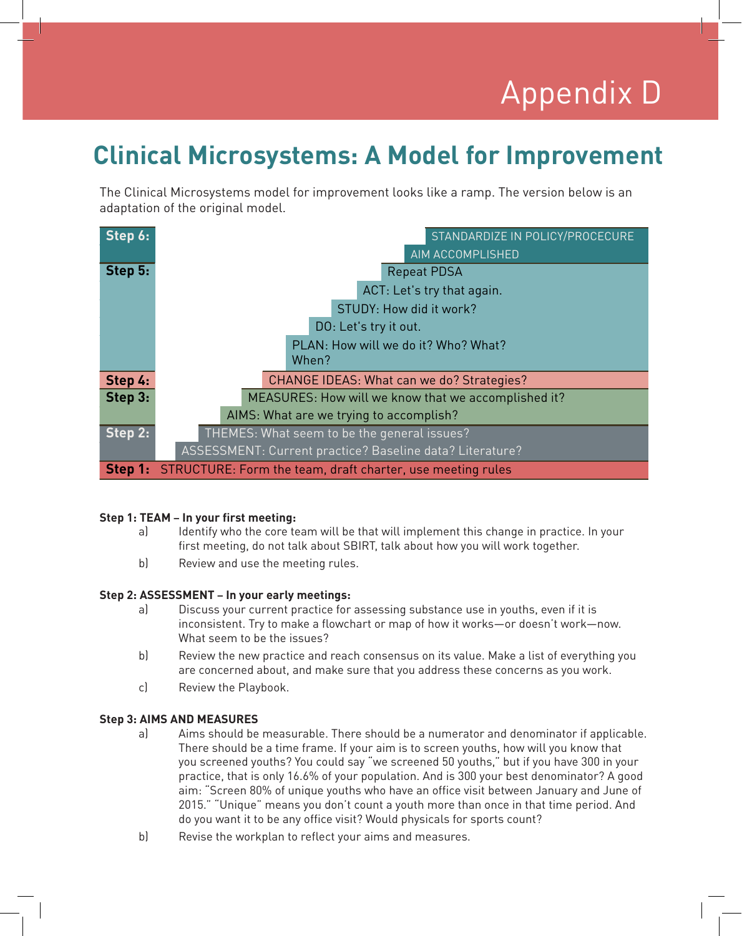# Appendix D Appendix D

## **Clinical Microsystems: A Model for Improvement**

The Clinical Microsystems model for improvement looks like a ramp. The version below is an adaptation of the original model.

| Step 6: | STANDARDIZE IN POLICY/PROCECURE                            |
|---------|------------------------------------------------------------|
|         | AIM ACCOMPLISHED                                           |
| Step 5: | <b>Repeat PDSA</b>                                         |
|         | ACT: Let's try that again.                                 |
|         | STUDY: How did it work?                                    |
|         | DO: Let's try it out.                                      |
|         | PLAN: How will we do it? Who? What?                        |
|         | When?                                                      |
| Step 4: | CHANGE IDEAS: What can we do? Strategies?                  |
| Step 3: | MEASURES: How will we know that we accomplished it?        |
|         | AIMS: What are we trying to accomplish?                    |
| Step 2: | THEMES: What seem to be the general issues?                |
|         | ASSESSMENT: Current practice? Baseline data? Literature?   |
| Step 1: | STRUCTURE: Form the team, draft charter, use meeting rules |

#### **Step 1: TEAM – In your first meeting:**

- a) Identify who the core team will be that will implement this change in practice. In your first meeting, do not talk about SBIRT, talk about how you will work together.
- b) Review and use the meeting rules.

### **Step 2: ASSESSMENT – In your early meetings:**

- a) Discuss your current practice for assessing substance use in youths, even if it is inconsistent. Try to make a flowchart or map of how it works—or doesn't work—now. What seem to be the issues?
- b) Review the new practice and reach consensus on its value. Make a list of everything you are concerned about, and make sure that you address these concerns as you work.
- c) Review the Playbook.

#### **Step 3: AIMS AND MEASURES**

- a) Aims should be measurable. There should be a numerator and denominator if applicable. There should be a time frame. If your aim is to screen youths, how will you know that you screened youths? You could say "we screened 50 youths," but if you have 300 in your practice, that is only 16.6% of your population. And is 300 your best denominator? A good aim: "Screen 80% of unique youths who have an office visit between January and June of 2015." "Unique" means you don't count a youth more than once in that time period. And do you want it to be any office visit? Would physicals for sports count?
- b) Revise the workplan to reflect your aims and measures.